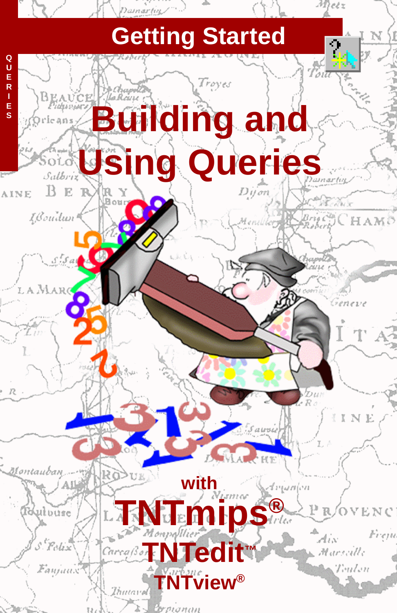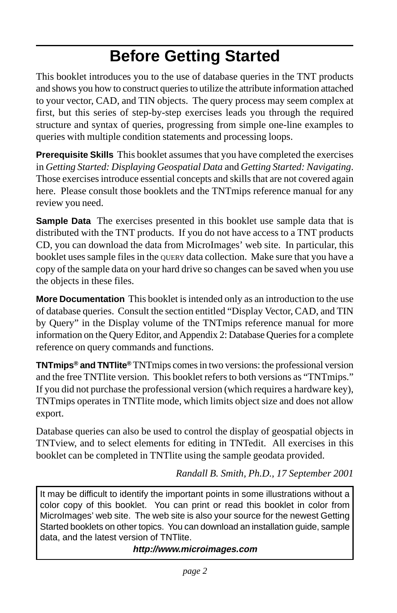## **Before Getting Started**

This booklet introduces you to the use of database queries in the TNT products and shows you how to construct queries to utilize the attribute information attached to your vector, CAD, and TIN objects. The query process may seem complex at first, but this series of step-by-step exercises leads you through the required structure and syntax of queries, progressing from simple one-line examples to queries with multiple condition statements and processing loops.

**Prerequisite Skills** This booklet assumes that you have completed the exercises in *Getting Started: Displaying Geospatial Data* and *Getting Started: Navigating*. Those exercises introduce essential concepts and skills that are not covered again here. Please consult those booklets and the TNTmips reference manual for any review you need.

**Sample Data** The exercises presented in this booklet use sample data that is distributed with the TNT products. If you do not have access to a TNT products CD, you can download the data from MicroImages' web site. In particular, this booklet uses sample files in the QUERY data collection. Make sure that you have a copy of the sample data on your hard drive so changes can be saved when you use the objects in these files.

**More Documentation** This booklet is intended only as an introduction to the use of database queries. Consult the section entitled "Display Vector, CAD, and TIN by Query" in the Display volume of the TNTmips reference manual for more information on the Query Editor, and Appendix 2: Database Queries for a complete reference on query commands and functions.

**TNTmips® and TNTlite®** TNTmips comes in two versions: the professional version and the free TNTlite version. This booklet refers to both versions as "TNTmips." If you did not purchase the professional version (which requires a hardware key), TNTmips operates in TNTlite mode, which limits object size and does not allow export.

Database queries can also be used to control the display of geospatial objects in TNTview, and to select elements for editing in TNTedit. All exercises in this booklet can be completed in TNTlite using the sample geodata provided.

*Randall B. Smith, Ph.D., 17 September 2001*

It may be difficult to identify the important points in some illustrations without a color copy of this booklet. You can print or read this booklet in color from MicroImages' web site. The web site is also your source for the newest Getting Started booklets on other topics. You can download an installation guide, sample data, and the latest version of TNTlite.

**http://www.microimages.com**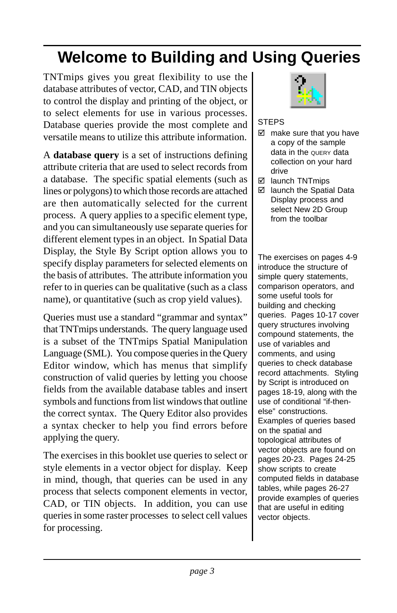## **Welcome to Building and Using Queries**

TNTmips gives you great flexibility to use the database attributes of vector, CAD, and TIN objects to control the display and printing of the object, or to select elements for use in various processes. Database queries provide the most complete and versatile means to utilize this attribute information.

A **database query** is a set of instructions defining attribute criteria that are used to select records from a database. The specific spatial elements (such as lines or polygons) to which those records are attached are then automatically selected for the current process. A query applies to a specific element type, and you can simultaneously use separate queries for different element types in an object. In Spatial Data Display, the Style By Script option allows you to specify display parameters for selected elements on the basis of attributes. The attribute information you refer to in queries can be qualitative (such as a class name), or quantitative (such as crop yield values).

Queries must use a standard "grammar and syntax" that TNTmips understands. The query language used is a subset of the TNTmips Spatial Manipulation Language (SML). You compose queries in the Query Editor window, which has menus that simplify construction of valid queries by letting you choose fields from the available database tables and insert symbols and functions from list windows that outline the correct syntax. The Query Editor also provides a syntax checker to help you find errors before applying the query.

The exercises in this booklet use queries to select or style elements in a vector object for display. Keep in mind, though, that queries can be used in any process that selects component elements in vector, CAD, or TIN objects. In addition, you can use queries in some raster processes to select cell values for processing.



#### **STEPS**

- $\boxtimes$  make sure that you have a copy of the sample data in the QUERY data collection on your hard drive
- **Ø** launch TNTmips
- launch the Spatial Data Display process and select New 2D Group from the toolbar

The exercises on pages 4-9 introduce the structure of simple query statements, comparison operators, and some useful tools for building and checking queries. Pages 10-17 cover query structures involving compound statements, the use of variables and comments, and using queries to check database record attachments. Styling by Script is introduced on pages 18-19, along with the use of conditional "if-thenelse" constructions. Examples of queries based on the spatial and topological attributes of vector objects are found on pages 20-23. Pages 24-25 show scripts to create computed fields in database tables, while pages 26-27 provide examples of queries that are useful in editing vector objects.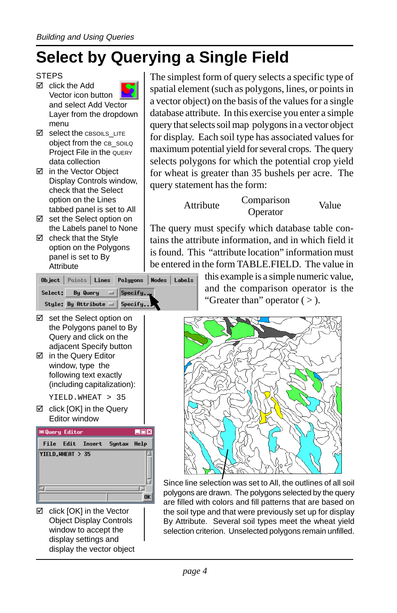## **Select by Querying a Single Field**

#### **STEPS**

- $\boxtimes$  click the Add Vector icon button and select Add Vector Layer from the dropdown menu
- Select the CBSOILS\_LITE object from the CB\_SOILQ Project File in the QUERY data collection
- in the Vector Object Display Controls window, check that the Select option on the Lines tabbed panel is set to All
- set the Select option on the Labels panel to None
- $\boxtimes$  check that the Style option on the Polygons panel is set to By **Attribute**

The simplest form of query selects a specific type of spatial element (such as polygons, lines, or points in a vector object) on the basis of the values for a single database attribute. In this exercise you enter a simple query that selects soil map polygons in a vector object for display. Each soil type has associated values for maximum potential yield for several crops. The query selects polygons for which the potential crop yield for wheat is greater than 35 bushels per acre. The query statement has the form:

Attribute Comparison

Omparison<br>Operator Value

The query must specify which database table contains the attribute information, and in which field it is found. This "attribute location" information must be entered in the form TABLE.FIELD. The value in

Object Points Lines Nodes | Labels Polygons Select: By Query  $=$  Specify. Style: By Attribute  $=$  Specify.

- set the Select option on the Polygons panel to By Query and click on the adjacent Specify button
- in the Query Editor window, type the following text exactly (including capitalization):

YIELD.WHEAT > 35

**Ø** click [OK] in the Query Editor window



 $\boxtimes$  click [OK] in the Vector Object Display Controls window to accept the display settings and display the vector object this example is a simple numeric value, and the comparison operator is the "Greater than" operator  $($  >  $)$ .



Since line selection was set to All, the outlines of all soil polygons are drawn. The polygons selected by the query are filled with colors and fill patterns that are based on the soil type and that were previously set up for display By Attribute. Several soil types meet the wheat yield selection criterion. Unselected polygons remain unfilled.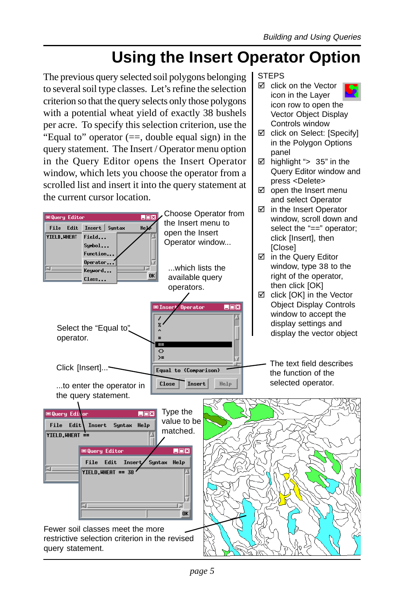$\boxtimes$  click on the Vector icon in the Layer icon row to open the Vector Object Display Controls window  $\boxtimes$  click on Select: [Specify] in the Polygon Options

 $\boxtimes$  highlight "> 35" in the Query Editor window and press <Delete>  $\boxtimes$  open the Insert menu and select Operator

### **Using the Insert Operator Option**

**STEPS** 

panel

The previous query selected soil polygons belonging to several soil type classes. Let's refine the selection criterion so that the query selects only those polygons with a potential wheat yield of exactly 38 bushels per acre. To specify this selection criterion, use the "Equal to" operator  $(==, double equal sign)$  in the query statement. The Insert / Operator menu option in the Query Editor opens the Insert Operator window, which lets you choose the operator from a scrolled list and insert it into the query statement at the current cursor location.

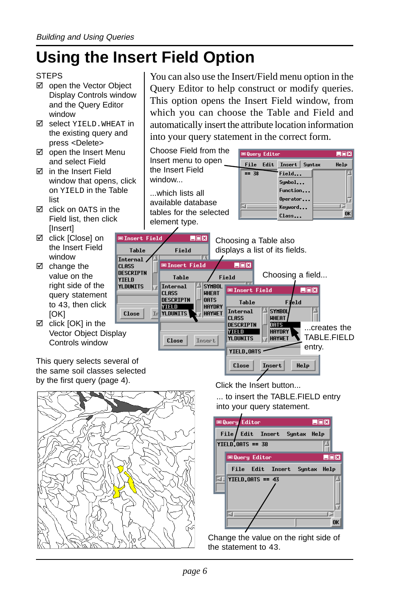## **Using the Insert Field Option**

### **STEPS**

- □ open the Vector Object Display Controls window and the Query Editor window
- $\boxtimes$  select YIELD. WHEAT in the existing query and press <Delete>
- $\boxtimes$  open the Insert Menu and select Field
- $⊓$  in the Insert Field window that opens, click on YIELD in the Table list
- **M** click on OATS in the Field list, then click **[Insert]**
- **Ø** click [Close] on the Insert Field window
- $\boxtimes$  change the value on the right side of the query statement to 43, then click [OK]
- □ click [OK] in the Vector Object Display Controls window

This query selects several of the same soil classes selected by the first query (page 4).



**CLASS** 

YTFI D

You can also use the Insert/Field menu option in the Query Editor to help construct or modify queries. This option opens the Insert Field window, from which you can choose the Table and Field and automatically insert the attribute location information into your query statement in the correct form.



| <b>EQuery Editor</b><br>EDX     |
|---------------------------------|
| File/Edit Insert<br>Syntax Help |
| YIELD.OATS == 38                |
| LOX<br><b>■Query Editor</b>     |
| File Edit Insert<br>Suntax Help |
|                                 |
| <b>YIELD.0ATS == 43</b>         |
|                                 |
|                                 |
|                                 |
| 0K                              |

Change the value on the right side of the statement to 43.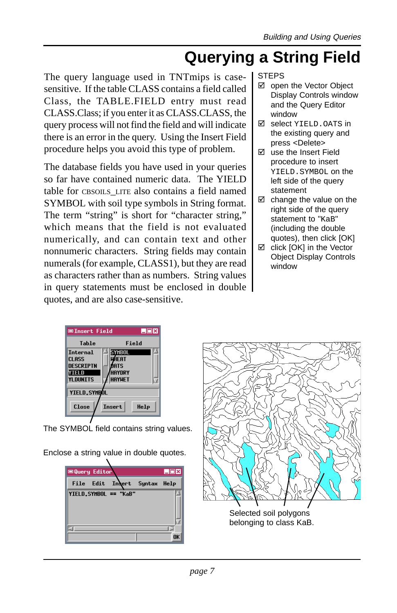### **Querying a String Field**

The query language used in TNTmips is casesensitive. If the table CLASS contains a field called Class, the TABLE.FIELD entry must read CLASS.Class; if you enter it as CLASS.CLASS, the query process will not find the field and will indicate there is an error in the query. Using the Insert Field procedure helps you avoid this type of problem.

The database fields you have used in your queries so far have contained numeric data. The YIELD table for CBSOILS LITE also contains a field named SYMBOL with soil type symbols in String format. The term "string" is short for "character string," which means that the field is not evaluated numerically, and can contain text and other nonnumeric characters. String fields may contain numerals (for example, CLASS1), but they are read as characters rather than as numbers. String values in query statements must be enclosed in double quotes, and are also case-sensitive.

#### **STEPS**

- ⊠ open the Vector Object Display Controls window and the Query Editor window
- $\boxtimes$  select YIELD. OATS in the existing query and press <Delete>
- $\boxtimes$  use the Insert Field procedure to insert YIELD.SYMBOL on the left side of the query statement
- $\boxtimes$  change the value on the right side of the query statement to "KaB" (including the double quotes), then click [OK]
- $\boxtimes$  click [OK] in the Vector Object Display Controls window

| EDX<br><b>■Insert Field</b>                                              |                                                   |
|--------------------------------------------------------------------------|---------------------------------------------------|
| Table                                                                    | Field                                             |
| <b>Tnternal</b><br><b>CLASS</b><br><b>DESCRIPTN</b><br>YIELD<br>YLDUNITS | SYMBOL<br>⊮4ғат<br>ATS<br>HAYNRY<br><b>HAYHET</b> |
| <b>YIELD.SYMBOL</b>                                                      |                                                   |
| Close                                                                    | <b>Tnsert</b><br>Help                             |

The SYMBOL field contains string values.

Enclose a string value in double quotes.



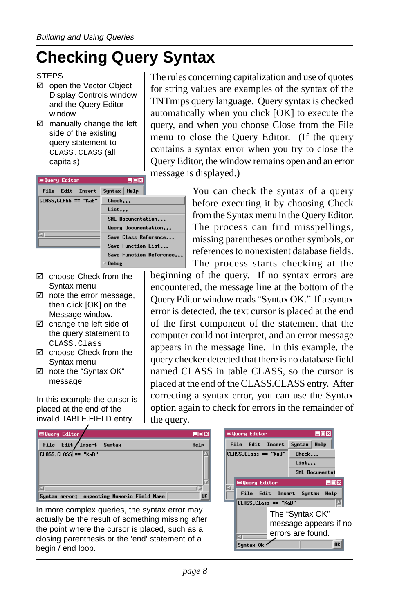## **Checking Query Syntax**

- ⊠ open the Vector Object Display Controls window and the Query Editor window
- $\boxtimes$  manually change the left side of the existing query statement to CLASS.CLASS (all capitals)

The rules concerning capitalization and use of quotes for string values are examples of the syntax of the TNTmips query language. Query syntax is checked automatically when you click [OK] to execute the query, and when you choose Close from the File menu to close the Query Editor. (If the query contains a syntax error when you try to close the Query Editor, the window remains open and an error message is displayed.)

| <b>□ Query Editor</b>  | LOX                     |
|------------------------|-------------------------|
| Edit<br>Insert<br>File | Help<br>Suntax          |
| CLASS.CLASS == "KaB"   | Check                   |
|                        | List                    |
|                        | SML Documentation       |
|                        | Query Documentation     |
|                        | Save Class Reference    |
|                        | Save Function List      |
|                        | Save Function Reference |
|                        | Debug                   |

- choose Check from the Syntax menu
- $\boxtimes$  note the error message, then click [OK] on the Message window.
- $\boxtimes$  change the left side of the query statement to CLASS.Class
- $\boxtimes$  choose Check from the Syntax menu
- ! note the "Syntax OK" message

In this example the cursor is placed at the end of the invalid TABLE.FIELD entry.

You can check the syntax of a query before executing it by choosing Check from the Syntax menu in the Query Editor. The process can find misspellings, missing parentheses or other symbols, or references to nonexistent database fields.

The process starts checking at the beginning of the query. If no syntax errors are encountered, the message line at the bottom of the Query Editor window reads "Syntax OK." If a syntax error is detected, the text cursor is placed at the end of the first component of the statement that the computer could not interpret, and an error message appears in the message line. In this example, the query checker detected that there is no database field named CLASS in table CLASS, so the cursor is placed at the end of the CLASS.CLASS entry. After correcting a syntax error, you can use the Syntax option again to check for errors in the remainder of the query.



In more complex queries, the syntax error may actually be the result of something missing after the point where the cursor is placed, such as a closing parenthesis or the 'end' statement of a begin / end loop.



STEPS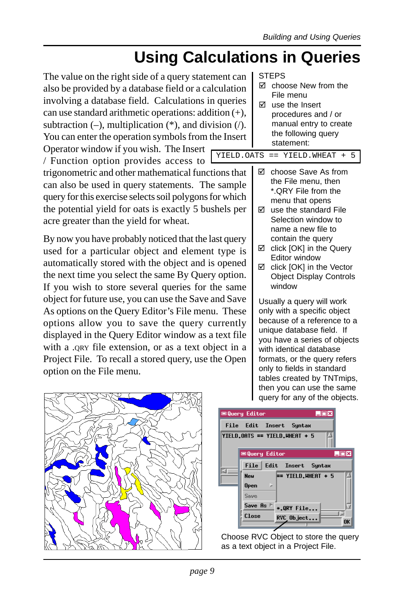### **Using Calculations in Queries**

YIELD.

The value on the right side of a query statement can also be provided by a database field or a calculation involving a database field. Calculations in queries can use standard arithmetic operations: addition  $(+)$ subtraction  $(-)$ , multiplication  $(*)$ , and division  $($ You can enter the operation symbols from the Inser Operator window if you wish. The Insert

/ Function option provides access to

trigonometric and other mathematical functions that can also be used in query statements. The sample query for this exercise selects soil polygons for which the potential yield for oats is exactly 5 bushels per acre greater than the yield for wheat.

By now you have probably noticed that the last query used for a particular object and element type is automatically stored with the object and is opened the next time you select the same By Query option. If you wish to store several queries for the same object for future use, you can use the Save and Save As options on the Query Editor's File menu. These options allow you to save the query currently displayed in the Query Editor window as a text file with a .QRY file extension, or as a text object in a Project File. To recall a stored query, use the Open option on the File menu.



| n<br>n |   | <b>STEPS</b><br>☑ choose New from the<br>File menu |
|--------|---|----------------------------------------------------|
| .s     | ы | use the Insert                                     |
|        |   | procedures and / or                                |
|        |   | manual entry to create                             |
| rt.    |   | the following query                                |
|        |   | statement:                                         |
| .OATS  |   | $==$ YIELD. WHEAT $+$                              |

- choose Save As from the File menu, then \*.QRY File from the menu that opens
- $\boxtimes$  use the standard File Selection window to name a new file to contain the query
- $\boxtimes$  click [OK] in the Query Editor window
- □ click [OK] in the Vector Object Display Controls window

Usually a query will work only with a specific object because of a reference to a unique database field. If you have a series of objects with identical database formats, or the query refers only to fields in standard tables created by TNTmips, then you can use the same query for any of the objects.

| <b>■Query Editor</b>    | LOX                           |
|-------------------------|-------------------------------|
|                         | File Edit Insert Suntax       |
|                         | YIELD.OATS == YIELD.WHEAT + 5 |
| <b>EQuery Editor</b>    | $\Box$ $\Box$ x               |
|                         | File Edit Insert Syntax       |
| <b>Neu</b>              | == YIELD.WHEAT + 5            |
| <b>D</b><br><b>Open</b> |                               |
| Sasse                   |                               |
| Save As                 | *.QRY File                    |
| Close                   | RVC Object<br>0K              |
|                         |                               |

Choose RVC Object to store the query as a text object in a Project File.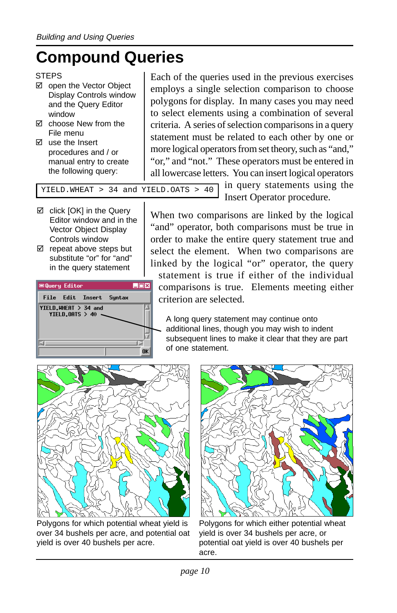## **Compound Queries**

### **STEPS**

- ⊠ open the Vector Object Display Controls window and the Query Editor window
- **M** choose New from the File menu
- $\boxtimes$  use the Insert procedures and / or manual entry to create the following query:

Each of the queries used in the previous exercises employs a single selection comparison to choose polygons for display. In many cases you may need to select elements using a combination of several criteria. A series of selection comparisons in a query statement must be related to each other by one or more logical operators from set theory, such as "and," "or," and "not." These operators must be entered in all lowercase letters. You can insert logical operators

YIELD.WHEAT > 34 and YIELD.OATS > 40

- $\boxtimes$  click [OK] in the Query Editor window and in the Vector Object Display Controls window
- $\boxtimes$  repeat above steps but substitute "or" for "and" in the query statement



in query statements using the Insert Operator procedure.

When two comparisons are linked by the logical "and" operator, both comparisons must be true in order to make the entire query statement true and select the element. When two comparisons are linked by the logical "or" operator, the query statement is true if either of the individual comparisons is true. Elements meeting either criterion are selected.

A long query statement may continue onto additional lines, though you may wish to indent subsequent lines to make it clear that they are part of one statement.



Polygons for which potential wheat yield is over 34 bushels per acre, and potential oat yield is over 40 bushels per acre.



Polygons for which either potential wheat yield is over 34 bushels per acre, or potential oat yield is over 40 bushels per acre.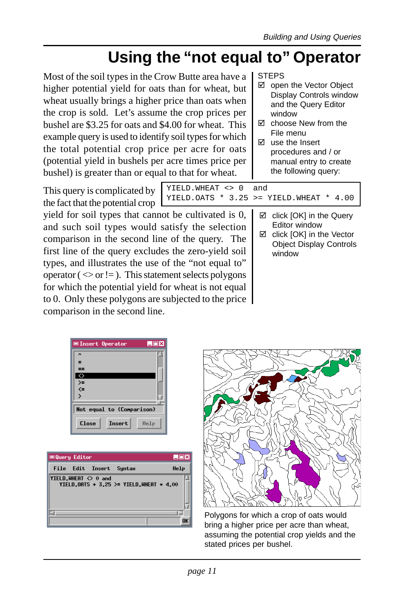## **Using the "not equal to" Operator**

YIELD.WHEAT <> 0 and

Most of the soil types in the Crow Butte area have a higher potential yield for oats than for wheat, but wheat usually brings a higher price than oats when the crop is sold. Let's assume the crop prices per bushel are \$3.25 for oats and \$4.00 for wheat. This example query is used to identify soil types for which the total potential crop price per acre for oats (potential yield in bushels per acre times price per bushel) is greater than or equal to that for wheat.

This query is complicated by

the fact that the potential crop yield for soil types that cannot be cultivated is 0, and such soil types would satisfy the selection comparison in the second line of the query. The first line of the query excludes the zero-yield soil types, and illustrates the use of the "not equal to" operator ( $\leq$  or != ). This statement selects polygons for which the potential yield for wheat is not equal to 0. Only these polygons are subjected to the price comparison in the second line.

**STEPS** 

YIELD.OATS  $*$  3.25 >= YIELD.WHEAT  $*$  4.00

- open the Vector Object Display Controls window and the Query Editor window
- $\boxtimes$  choose New from the File menu
- $\boxtimes$  use the Insert procedures and / or manual entry to create the following query:

 $\boxtimes$  click [OK] in the Query Editor window

 $\boxtimes$  click [OK] in the Vector Object Display Controls window

| LOX<br><b>■Insert Operator</b> |
|--------------------------------|
| $\ddot{\phantom{0}}$           |
| Ξ                              |
| $==$                           |
| ◇<br>}}                        |
|                                |
| $\overline{ }$                 |
| Not equal to (Comparison)      |
| Close<br><b>Insert</b><br>辣椒   |





Polygons for which a crop of oats would bring a higher price per acre than wheat, assuming the potential crop yields and the stated prices per bushel.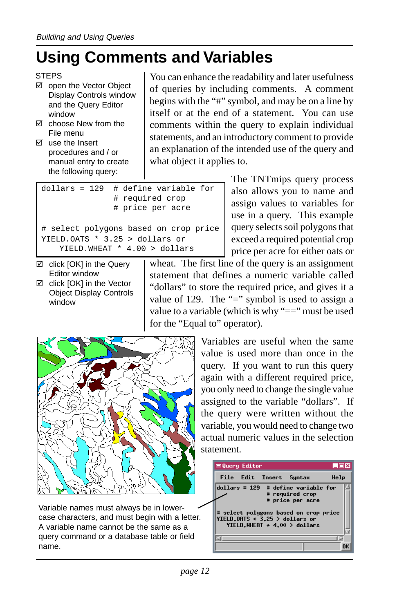### **Using Comments and Variables**

#### **STEPS**

- ⊠ open the Vector Object Display Controls window and the Query Editor window
- $\boxtimes$  choose New from the File menu
- $\boxtimes$  use the Insert procedures and / or manual entry to create the following query:

You can enhance the readability and later usefulness of queries by including comments. A comment begins with the "#" symbol, and may be on a line by itself or at the end of a statement. You can use comments within the query to explain individual statements, and an introductory comment to provide an explanation of the intended use of the query and what object it applies to.

| # define variable for<br>$dollars = 129$<br># required crop<br># price per acre |
|---------------------------------------------------------------------------------|
| # select polygons based on crop price                                           |
| YIELD.OATS $*$ 3.25 > dollars or                                                |
| YIELD. WHEAT * 4.00 > dollars                                                   |

The TNTmips query process also allows you to name and assign values to variables for use in a query. This example query selects soil polygons that exceed a required potential crop price per acre for either oats or

 $\boxtimes$  click [OK] in the Query Editor window □ click [OK] in the Vector Object Display Controls window

wheat. The first line of the query is an assignment statement that defines a numeric variable called "dollars" to store the required price, and gives it a value of 129. The "=" symbol is used to assign a value to a variable (which is why "==" must be used for the "Equal to" operator).



Variable names must always be in lowercase characters, and must begin with a letter. A variable name cannot be the same as a query command or a database table or field name.

Variables are useful when the same value is used more than once in the query. If you want to run this query again with a different required price, you only need to change the single value assigned to the variable "dollars". If the query were written without the variable, you would need to change two actual numeric values in the selection statement.

| <b>■Query Editor</b><br>LOX                                                                                                                                                             |  |
|-----------------------------------------------------------------------------------------------------------------------------------------------------------------------------------------|--|
| File Edit Insert Syntax<br>Help                                                                                                                                                         |  |
| $dollars = 129$ # define variable for<br># required crop<br># price per acre<br># select polygons based on crop price<br>YIELD.OATS * 3.25 > dollars or<br>YIELD.WHEAT * 4.00 > dollars |  |
|                                                                                                                                                                                         |  |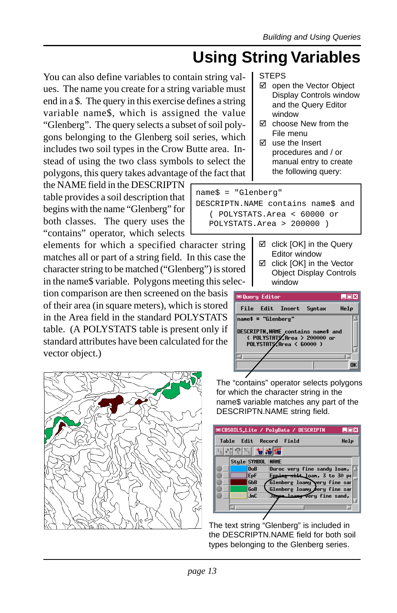## **Using String Variables**

You can also define variables to contain string values. The name you create for a string variable must end in a \$. The query in this exercise defines a string variable name\$, which is assigned the value "Glenberg". The query selects a subset of soil polygons belonging to the Glenberg soil series, which includes two soil types in the Crow Butte area. Instead of using the two class symbols to select the polygons, this query takes advantage of the fact that

the NAME field in the DESCRIPTN table provides a soil description that begins with the name "Glenberg" for both classes. The query uses the "contains" operator, which selects

elements for which a specified character string matches all or part of a string field. In this case the character string to be matched ("Glenberg") is stored in the name\$ variable. Polygons meeting this selec-

tion comparison are then screened on the basis of their area (in square meters), which is stored in the Area field in the standard POLYSTATS table. (A POLYSTATS table is present only if standard attributes have been calculated for the vector object.)



STEPS

- ⊠ open the Vector Object Display Controls window and the Query Editor window
- $\boxtimes$  choose New from the File menu
- $\boxtimes$  use the Insert procedures and / or manual entry to create the following query:

name\$ = "Glenberg"

DESCRIPTN.NAME contains name\$ and ( POLYSTATS.Area < 60000 or POLYSTATS.Area > 200000 )

- $\boxtimes$  click [OK] in the Query Editor window
- $\boxtimes$  click [OK] in the Vector Object Display Controls window



The "contains" operator selects polygons for which the character string in the name\$ variable matches any part of the DESCRIPTN.NAME string field.

|       |  |                               | <b>EDCBSOILS_Lite / PoluData / DESCRIPTN</b> | LOX  |
|-------|--|-------------------------------|----------------------------------------------|------|
|       |  |                               | Table Edit Record Field                      | Help |
| 网络医神经 |  |                               |                                              |      |
|       |  | Style SYMBOL NAME             |                                              |      |
|       |  | $\mathbf{D} \cdot \mathbf{B}$ | Duroc very fine sandy loan, $\Delta$         |      |
|       |  | <b>E</b> <sub>PF</sub>        | Epping silt_loan, 3 to 30 pe                 |      |
|       |  | <b>GbB</b>                    | Glenberg loany very fine sar                 |      |
|       |  | GoB                           | Glenberg loany very fine san                 |      |
|       |  | <b>JnC</b>                    | Jagon Loany Very fine sand,                  |      |
|       |  |                               |                                              |      |
|       |  |                               |                                              |      |
|       |  |                               |                                              |      |

The text string "Glenberg" is included in the DESCRIPTN.NAME field for both soil types belonging to the Glenberg series.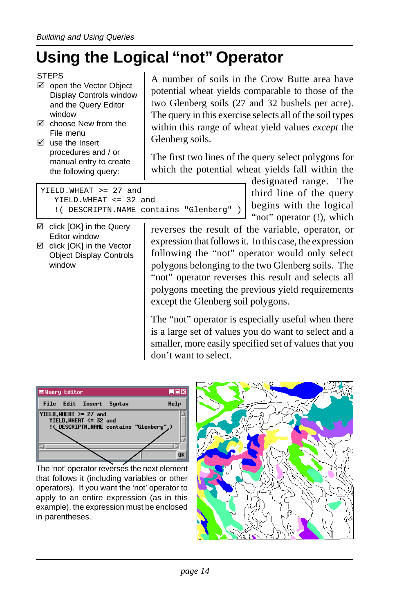## **Using the Logical "not" Operator**

- ⊠ open the Vector Object Display Controls window and the Query Editor window
- $✓$  choose New from the File menu
- $\boxtimes$  use the Insert procedures and / or manual entry to create the following query:

A number of soils in the Crow Butte area have potential wheat yields comparable to those of the two Glenberg soils (27 and 32 bushels per acre). The query in this exercise selects all of the soil types within this range of wheat yield values *except* the Glenberg soils.

The first two lines of the query select polygons for which the potential wheat yields fall within the

> designated range. The third line of the query begins with the logical

YIELD.WHEAT >= 27 and YIELD.WHEAT <= 32 and !( DESCRIPTN.NAME contains "Glenberg" )

- ⊠ click [OK] in the Query Editor window  $\boxtimes$  click [OK] in the Vector
- Object Display Controls window

"not" operator (!), which reverses the result of the variable, operator, or expression that follows it. In this case, the expression following the "not" operator would only select polygons belonging to the two Glenberg soils. The "not" operator reverses this result and selects all polygons meeting the previous yield requirements except the Glenberg soil polygons.

The "not" operator is especially useful when there is a large set of values you do want to select and a smaller, more easily specified set of values that you don't want to select.



The 'not' operator reverses the next element that follows it (including variables or other operators). If you want the 'not' operator to apply to an entire expression (as in this example), the expression must be enclosed in parentheses.



**STEPS**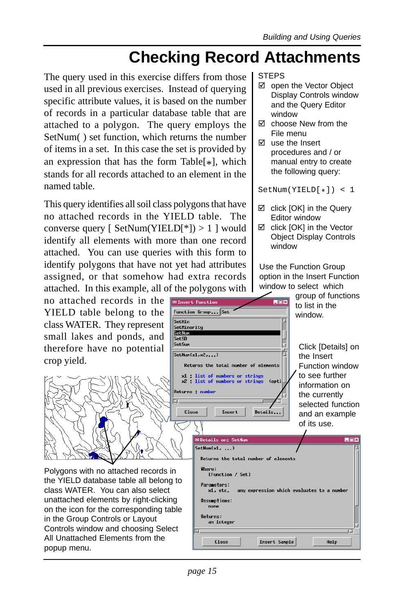### **Checking Record Attachments**

The query used in this exercise differs from those used in all previous exercises. Instead of querying specific attribute values, it is based on the number of records in a particular database table that are attached to a polygon. The query employs the SetNum( ) set function, which returns the number of items in a set. In this case the set is provided by an expression that has the form Table $[*]$ , which stands for all records attached to an element in the named table.

This query identifies all soil class polygons that have no attached records in the YIELD table. The converse query [  $SetNum(YIELD[*]) > 1$  ] would identify all elements with more than one record attached. You can use queries with this form to identify polygons that have not yet had attributes assigned, or that somehow had extra records attached. In this example, all of the polygons with

no attached records in the YIELD table belong to the class WATER. They represent small lakes and ponds, and therefore have no potential crop yield.



Polygons with no attached records in the YIELD database table all belong to class WATER. You can also select unattached elements by right-clicking on the icon for the corresponding table in the Group Controls or Layout Controls window and choosing Select All Unattached Elements from the popup menu.

#### **STEPS**

- open the Vector Object Display Controls window and the Query Editor window
- **M** choose New from the File menu
- $\boxtimes$  use the Insert procedures and / or manual entry to create the following query:

 $SetNum(YIELD[{}_*] ) < 1$ 

- $\boxtimes$  click [OK] in the Query Editor window
- click [OK] in the Vector Object Display Controls window

Use the Function Group option in the Insert Function window to select which



*page 15*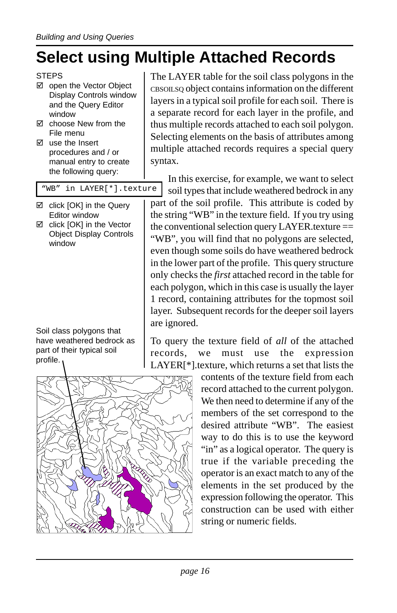## **Select using Multiple Attached Records**

- open the Vector Object Display Controls window and the Query Editor window
- $✓$  choose New from the File menu
- $\boxtimes$  use the Insert procedures and / or manual entry to create the following query:

"WB" in LAYER[\*].texture

- $\boxtimes$  click [OK] in the Query Editor window
- click [OK] in the Vector Object Display Controls window

Soil class polygons that have weathered bedrock as part of their typical soil profile.

The LAYER table for the soil class polygons in the CBSOILSQ object contains information on the different layers in a typical soil profile for each soil. There is a separate record for each layer in the profile, and thus multiple records attached to each soil polygon. Selecting elements on the basis of attributes among multiple attached records requires a special query syntax.

In this exercise, for example, we want to select soil types that include weathered bedrock in any

part of the soil profile. This attribute is coded by the string "WB" in the texture field. If you try using the conventional selection query LAYER.texture  $==$ "WB", you will find that no polygons are selected, even though some soils do have weathered bedrock in the lower part of the profile. This query structure only checks the *first* attached record in the table for each polygon, which in this case is usually the layer 1 record, containing attributes for the topmost soil layer. Subsequent records for the deeper soil layers are ignored.

To query the texture field of *all* of the attached records, we must use the expression LAYER[\*].texture, which returns a set that lists the



contents of the texture field from each record attached to the current polygon. We then need to determine if any of the members of the set correspond to the desired attribute "WB". The easiest way to do this is to use the keyword "in" as a logical operator. The query is true if the variable preceding the operator is an exact match to any of the elements in the set produced by the expression following the operator. This construction can be used with either string or numeric fields.

**STEPS**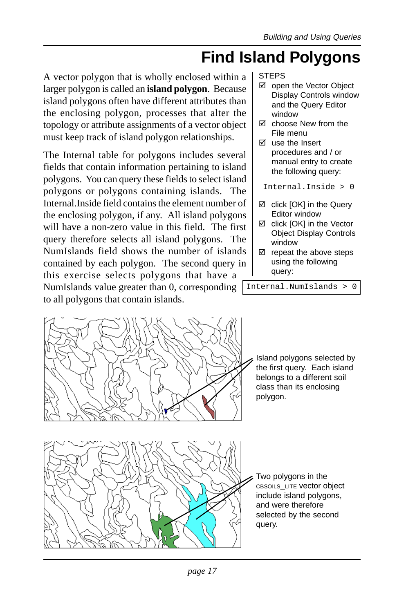### **Find Island Polygons**

A vector polygon that is wholly enclosed within a larger polygon is called an **island polygon**. Because island polygons often have different attributes than the enclosing polygon, processes that alter the topology or attribute assignments of a vector object must keep track of island polygon relationships.

NumIslands value greater than 0, corresponding Internal.NumIslands > 0 The Internal table for polygons includes several fields that contain information pertaining to island polygons. You can query these fields to select island polygons or polygons containing islands. The Internal.Inside field contains the element number of the enclosing polygon, if any. All island polygons will have a non-zero value in this field. The first query therefore selects all island polygons. The NumIslands field shows the number of islands contained by each polygon. The second query in this exercise selects polygons that have a to all polygons that contain islands.

STEPS

- ⊠ open the Vector Object Display Controls window and the Query Editor window
- $\boxtimes$  choose New from the File menu
- $\boxtimes$  use the Insert procedures and / or manual entry to create the following query:

Internal.Inside > 0

- ⊠ click [OK] in the Query Editor window
- $\boxtimes$  click [OK] in the Vector Object Display Controls window
- $\boxtimes$  repeat the above steps using the following query:



*page 17*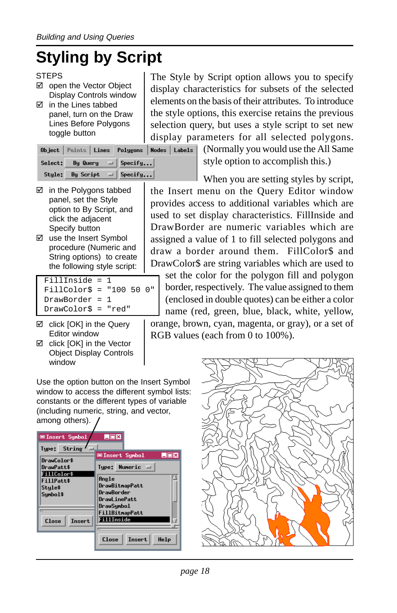# **Styling by Script**

#### **STEPS**

- open the Vector Object Display Controls window
- $\boxtimes$  in the Lines tabbed panel, turn on the Draw Lines Before Polygons toggle button

|         |  | Object   Paints   Lines   Polygons | Nod |
|---------|--|------------------------------------|-----|
| Select: |  | By Query $\Box$ Specify            |     |
| Style:  |  | By Script $=$ Specify              |     |

- $\boxtimes$  in the Polygons tabbed panel, set the Style option to By Script, and click the adjacent Specify button
- use the Insert Symbol procedure (Numeric and String options) to create the following style script:

```
FillInside = 1
FillColor$ = "100 50 0"
DrawBorder = 1
DrawColor$ = "red"
```
- $\boxtimes$  click [OK] in the Query Editor window
- □ click [OK] in the Vector Object Display Controls window

Use the option button on the Insert Symbol window to access the different symbol lists: constants or the different types of variable (including numeric, string, and vector, among others).



The Style by Script option allows you to specify display characteristics for subsets of the selected elements on the basis of their attributes. To introduce the style options, this exercise retains the previous selection query, but uses a style script to set new display parameters for all selected polygons.

(Normally you would use the All Same  $\overline{\mathsf{les}}$   $\overline{\mathsf{labels}}$ style option to accomplish this.)

When you are setting styles by script, the Insert menu on the Query Editor window provides access to additional variables which are used to set display characteristics. FillInside and DrawBorder are numeric variables which are assigned a value of 1 to fill selected polygons and draw a border around them. FillColor\$ and DrawColor\$ are string variables which are used to

set the color for the polygon fill and polygon border, respectively. The value assigned to them (enclosed in double quotes) can be either a color name (red, green, blue, black, white, yellow, orange, brown, cyan, magenta, or gray), or a set of

RGB values (each from 0 to 100%).

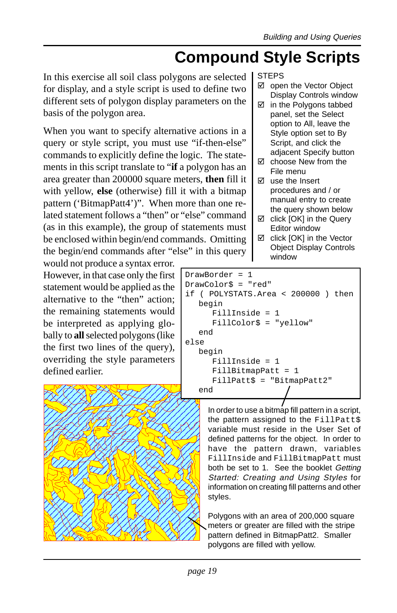### **Compound Style Scripts**

In this exercise all soil class polygons are selected for display, and a style script is used to define two different sets of polygon display parameters on the basis of the polygon area.

When you want to specify alternative actions in a query or style script, you must use "if-then-else" commands to explicitly define the logic. The statements in this script translate to "**if** a polygon has an area greater than 200000 square meters, **then** fill it with yellow, **else** (otherwise) fill it with a bitmap pattern ('BitmapPatt4')". When more than one related statement follows a "then" or "else" command (as in this example), the group of statements must be enclosed within begin/end commands. Omitting the begin/end commands after "else" in this query

would not produce a syntax error. However, in that case only the first statement would be applied as the alternative to the "then" action; the remaining statements would be interpreted as applying globally to **all** selected polygons (like the first two lines of the query), overriding the style parameters defined earlier.



#### STEPS

- ⊠ open the Vector Object Display Controls window
- $\boxtimes$  in the Polygons tabbed panel, set the Select option to All, leave the Style option set to By Script, and click the adjacent Specify button
- **M** choose New from the File menu
- $\boxtimes$  use the Insert procedures and / or manual entry to create the query shown below
- $\boxtimes$  click [OK] in the Query Editor window
- $\boxtimes$  click [OK] in the Vector Object Display Controls window

```
DrawBorder = 1
DrawColor$ = "red"
if ( POLYSTATS.Area < 200000 ) then
  begin
     FillInside = 1
     FillColor$ = "yellow"
  end
else
  begin
     FillInside = 1
     FillBitmapPatt = 1
     FillPatt$ = "BitmapPatt2"
  end
```
In order to use a bitmap fill pattern in a script, the pattern assigned to the FillPatt\$ variable must reside in the User Set of defined patterns for the object. In order to have the pattern drawn, variables FillInside and FillBitmapPatt must both be set to 1. See the booklet Getting Started: Creating and Using Styles for information on creating fill patterns and other styles.

Polygons with an area of 200,000 square meters or greater are filled with the stripe pattern defined in BitmapPatt2. Smaller polygons are filled with yellow.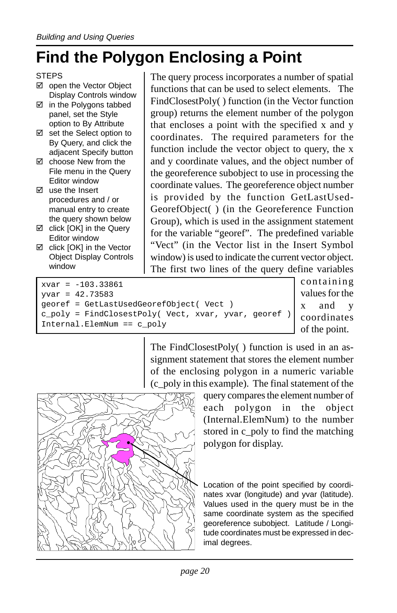### **Find the Polygon Enclosing a Point**

- ⊠ open the Vector Object Display Controls window
- $\boxtimes$  in the Polygons tabbed panel, set the Style option to By Attribute
- $\boxtimes$  set the Select option to By Query, and click the adjacent Specify button
- $\boxtimes$  choose New from the File menu in the Query Editor window
- $\boxtimes$  use the Insert procedures and / or manual entry to create the query shown below
- $\boxtimes$  click [OK] in the Query Editor window
- $\boxtimes$  click [OK] in the Vector Object Display Controls window

The query process incorporates a number of spatial functions that can be used to select elements. The FindClosestPoly( ) function (in the Vector function group) returns the element number of the polygon that encloses a point with the specified x and y coordinates. The required parameters for the function include the vector object to query, the x and y coordinate values, and the object number of the georeference subobject to use in processing the coordinate values. The georeference object number is provided by the function GetLastUsed-GeorefObject( ) (in the Georeference Function Group), which is used in the assignment statement for the variable "georef". The predefined variable "Vect" (in the Vector list in the Insert Symbol window) is used to indicate the current vector object. The first two lines of the query define variables

 $xvar = -103.33861$ yvar = 42.73583 georef = GetLastUsedGeorefObject( Vect ) c\_poly = FindClosestPoly( Vect, xvar, yvar, georef ) Internal.ElemNum == c\_poly

containing values for the x and y coordinates of the point.

The FindClosestPoly( ) function is used in an assignment statement that stores the element number of the enclosing polygon in a numeric variable (c\_poly in this example). The final statement of the



query compares the element number of each polygon in the object (Internal.ElemNum) to the number stored in c\_poly to find the matching polygon for display.

Location of the point specified by coordinates xvar (longitude) and yvar (latitude). Values used in the query must be in the same coordinate system as the specified georeference subobject. Latitude / Longitude coordinates must be expressed in decimal degrees.

**STEPS**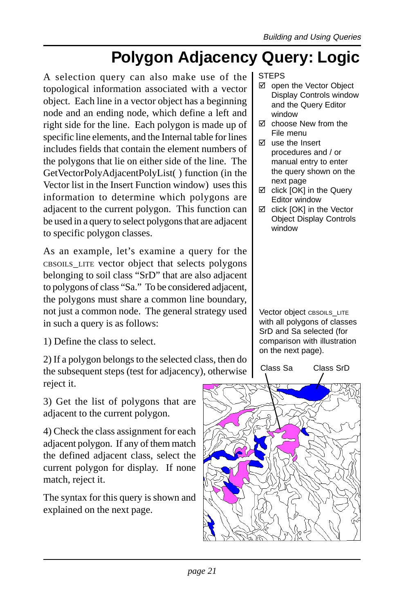## **Polygon Adjacency Query: Logic**

A selection query can also make use of the topological information associated with a vector object. Each line in a vector object has a beginning node and an ending node, which define a left and right side for the line. Each polygon is made up of specific line elements, and the Internal table for lines includes fields that contain the element numbers of the polygons that lie on either side of the line. The GetVectorPolyAdjacentPolyList( ) function (in the Vector list in the Insert Function window) uses this information to determine which polygons are adjacent to the current polygon. This function can be used in a query to select polygons that are adjacent to specific polygon classes.

As an example, let's examine a query for the CBSOILS\_LITE vector object that selects polygons belonging to soil class "SrD" that are also adjacent to polygons of class "Sa." To be considered adjacent, the polygons must share a common line boundary, not just a common node. The general strategy used in such a query is as follows:

1) Define the class to select.

2) If a polygon belongs to the selected class, then do the subsequent steps (test for adjacency), otherwise reject it.

3) Get the list of polygons that are adjacent to the current polygon.

4) Check the class assignment for each adjacent polygon. If any of them match the defined adjacent class, select the current polygon for display. If none match, reject it.

The syntax for this query is shown and explained on the next page.

#### STEPS

- ⊠ open the Vector Object Display Controls window and the Query Editor window
- choose New from the File menu
- $\boxtimes$  use the Insert procedures and / or manual entry to enter the query shown on the next page
- $\boxtimes$  click [OK] in the Query Editor window
- $\boxtimes$  click [OK] in the Vector Object Display Controls window

Vector object CBSOILS\_LITE with all polygons of classes SrD and Sa selected (for comparison with illustration on the next page).

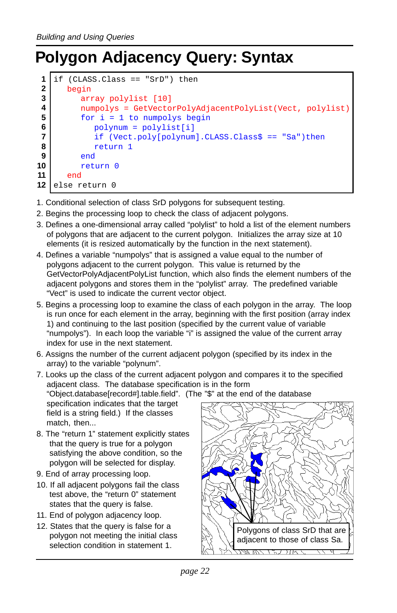## **Polygon Adjacency Query: Syntax**

```
if (CLASS.Class == "SrD") then
      begin
         array polylist [10]
         numpolys = GetVectorPolyAdjacentPolyList(Vect, polylist)
         for i = 1 to numpolys begin
            polynum = polylist[i]
            if (Vect.poly[polynum].CLASS.Class$ == "Sa")then
            return 1
         end
         return 0
      end
   else return 0
 1
 2
 3
 4
 5
 6
 7
 8
 9
10
11
12
```
- 1. Conditional selection of class SrD polygons for subsequent testing.
- 2. Begins the processing loop to check the class of adjacent polygons.
- 3. Defines a one-dimensional array called "polylist" to hold a list of the element numbers of polygons that are adjacent to the current polygon. Initializes the array size at 10 elements (it is resized automatically by the function in the next statement).
- 4. Defines a variable "numpolys" that is assigned a value equal to the number of polygons adjacent to the current polygon. This value is returned by the GetVectorPolyAdjacentPolyList function, which also finds the element numbers of the adjacent polygons and stores them in the "polylist" array. The predefined variable "Vect" is used to indicate the current vector object.
- 5. Begins a processing loop to examine the class of each polygon in the array. The loop is run once for each element in the array, beginning with the first position (array index 1) and continuing to the last position (specified by the current value of variable "numpolys"). In each loop the variable "i" is assigned the value of the current array index for use in the next statement.
- 6. Assigns the number of the current adjacent polygon (specified by its index in the array) to the variable "polynum".
- 7. Looks up the class of the current adjacent polygon and compares it to the specified adjacent class. The database specification is in the form "Object.database[record#].table.field". (The "\$" at the end of the database specification indicates that the target field is a string field.) If the classes match, then...
- 8. The "return 1" statement explicitly states that the query is true for a polygon satisfying the above condition, so the polygon will be selected for display.
- 9. End of array processing loop.
- 10. If all adjacent polygons fail the class test above, the "return 0" statement states that the query is false.
- 11. End of polygon adjacency loop.
- 12. States that the query is false for a polygon not meeting the initial class selection condition in statement 1.

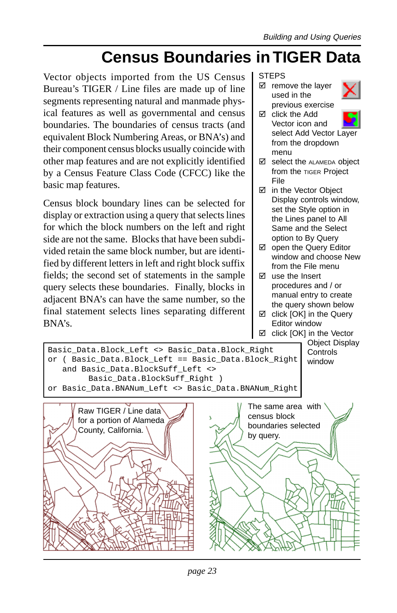### **Census Boundaries in TIGER Data**

Vector objects imported from the US Census Bureau's TIGER / Line files are made up of line segments representing natural and manmade physical features as well as governmental and census boundaries. The boundaries of census tracts (and equivalent Block Numbering Areas, or BNA's) and their component census blocks usually coincide with other map features and are not explicitly identified by a Census Feature Class Code (CFCC) like the basic map features.

Census block boundary lines can be selected for display or extraction using a query that selects lines for which the block numbers on the left and right side are not the same. Blocks that have been subdivided retain the same block number, but are identified by different letters in left and right block suffix fields; the second set of statements in the sample query selects these boundaries. Finally, blocks in adjacent BNA's can have the same number, so the final statement selects lines separating different BNA's.

#### **STEPS**

 $\boxtimes$  remove the layer used in the previous exercise



- $\boxtimes$  click the Add Vector icon and select Add Vector Layer from the dropdown menu
- $\boxtimes$  select the ALAMEDA object from the TIGER Project File
- in the Vector Object Display controls window, set the Style option in the Lines panel to All Same and the Select option to By Query
- $\boxtimes$  open the Query Editor window and choose New from the File menu
- $\boxtimes$  use the Insert procedures and / or manual entry to create the query shown below
- $\boxtimes$  click  $IOKI$  in the Query Editor window

 $\boxtimes$  click [OK] in the Vector Object Display



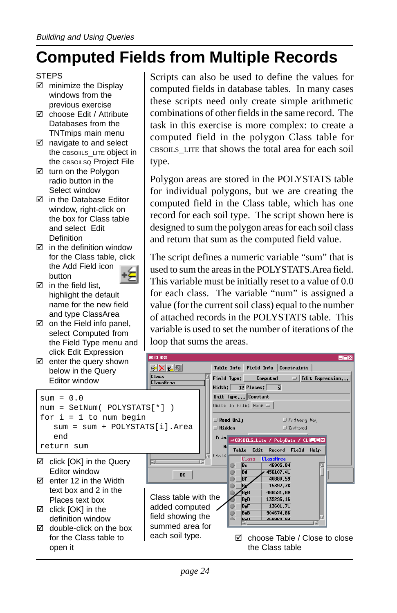### **Computed Fields from Multiple Records**

- **STEPS**
- $\boxtimes$  minimize the Display windows from the previous exercise
- **Ø** choose Edit / Attribute Databases from the TNTmips main menu
- $\boxtimes$  navigate to and select the CBSOIILS LITE object in the CBSOILSQ Project File
- turn on the Polygon radio button in the Select window
- in the Database Editor window, right-click on the box for Class table and select Edit Definition
- $\boxtimes$  in the definition window for the Class table, click the Add Field icon button
- $\boxtimes$  in the field list, highlight the default name for the new field and type ClassArea
- $\boxtimes$  on the Field info panel, select Computed from the Field Type menu and click Edit Expression
- $\boxtimes$  enter the query shown below in the Query Editor window

```
sum = 0.0num = SetNum( POLYSTATS[*] )
for i = 1 to num begin
  sum = sum + POLYSTATS[i].Area
  end
return sum
```
- □ click [OK] in the Query Editor window
- $\boxtimes$  enter 12 in the Width text box and 2 in the Places text box
- $\boxtimes$  click [OK] in the definition window
- for the Class table to open it

Scripts can also be used to define the values for computed fields in database tables. In many cases these scripts need only create simple arithmetic combinations of other fields in the same record. The task in this exercise is more complex: to create a computed field in the polygon Class table for CBSOILS\_LITE that shows the total area for each soil type.

Polygon areas are stored in the POLYSTATS table for individual polygons, but we are creating the computed field in the Class table, which has one record for each soil type. The script shown here is designed to sum the polygon areas for each soil class and return that sum as the computed field value.

The script defines a numeric variable "sum" that is used to sum the areas in the POLYSTATS.Area field. This variable must be initially reset to a value of 0.0 for each class. The variable "num" is assigned a value (for the current soil class) equal to the number of attached records in the POLYSTATS table. This variable is used to set the number of iterations of the loop that sums the areas.

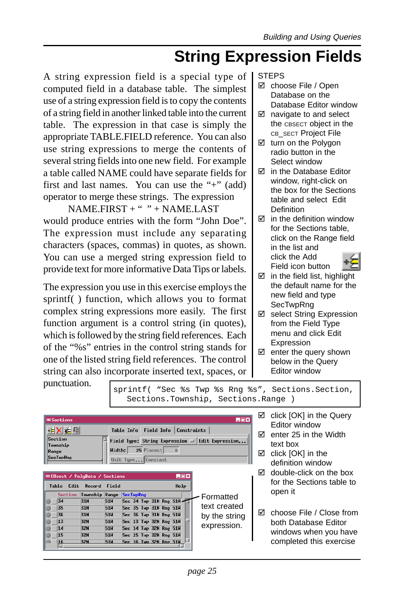### **String Expression Fields**

A string expression field is a special type of computed field in a database table. The simplest use of a string expression field is to copy the contents of a string field in another linked table into the current table. The expression in that case is simply the appropriate TABLE.FIELD reference. You can also use string expressions to merge the contents of several string fields into one new field. For example a table called NAME could have separate fields for first and last names. You can use the "+" (add) operator to merge these strings. The expression

 $NAME.FIRST + " " + NAME.LAST"$ would produce entries with the form "John Doe". The expression must include any separating characters (spaces, commas) in quotes, as shown. You can use a merged string expression field to provide text for more informative Data Tips or labels.

The expression you use in this exercise employs the sprintf( ) function, which allows you to format complex string expressions more easily. The first function argument is a control string (in quotes), which is followed by the string field references. Each of the "%s" entries in the control string stands for one of the listed string field references. The control string can also incorporate inserted text, spaces, or STEPS

- $✓$  choose File / Open Database on the Database Editor window
- $\boxtimes$  navigate to and select the CBSECT object in the CB\_SECT Project File
- turn on the Polygon radio button in the Select window
- □ in the Database Editor window, right-click on the box for the Sections table and select Edit Definition
- $\boxtimes$  in the definition window for the Sections table, click on the Range field in the list and click the Add Field icon button



- $\boxtimes$  in the field list, highlight the default name for the new field and type **SecTwpRng**
- select String Expression from the Field Type menu and click Edit Expression
- $\boxtimes$  enter the query shown below in the Query Editor window

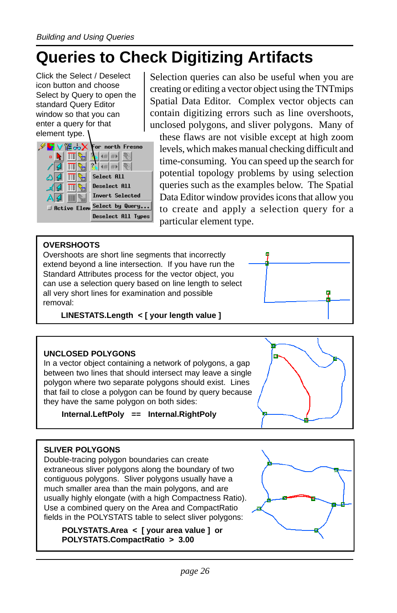## **Queries to Check Digitizing Artifacts**

Click the Select / Deselect icon button and choose Select by Query to open the standard Query Editor window so that you can enter a query for that element type.



Selection queries can also be useful when you are creating or editing a vector object using the TNTmips Spatial Data Editor. Complex vector objects can contain digitizing errors such as line overshoots, unclosed polygons, and sliver polygons. Many of

these flaws are not visible except at high zoom levels, which makes manual checking difficult and time-consuming. You can speed up the search for potential topology problems by using selection queries such as the examples below. The Spatial Data Editor window provides icons that allow you to create and apply a selection query for a particular element type.

#### **OVERSHOOTS**

Overshoots are short line segments that incorrectly extend beyond a line intersection. If you have run the Standard Attributes process for the vector object, you can use a selection query based on line length to select all very short lines for examination and possible removal:

**LINESTATS.Length < [ your length value ]**

#### **UNCLOSED POLYGONS**

In a vector object containing a network of polygons, a gap between two lines that should intersect may leave a single polygon where two separate polygons should exist. Lines that fail to close a polygon can be found by query because they have the same polygon on both sides:

#### **Internal.LeftPoly == Internal.RightPoly**



×.

#### **SLIVER POLYGONS**

Double-tracing polygon boundaries can create extraneous sliver polygons along the boundary of two contiguous polygons. Sliver polygons usually have a much smaller area than the main polygons, and are usually highly elongate (with a high Compactness Ratio). Use a combined query on the Area and CompactRatio fields in the POLYSTATS table to select sliver polygons:

**POLYSTATS.Area < [ your area value ] or POLYSTATS.CompactRatio > 3.00**

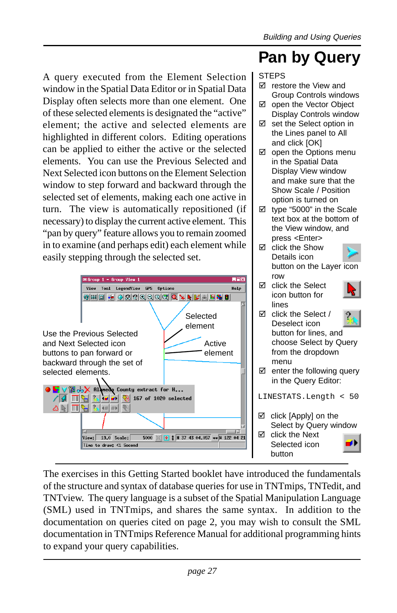### **Pan by Query**

A query executed from the Element Selection window in the Spatial Data Editor or in Spatial Data Display often selects more than one element. One of these selected elements is designated the "active" element; the active and selected elements are highlighted in different colors. Editing operations can be applied to either the active or the selected elements. You can use the Previous Selected and Next Selected icon buttons on the Element Selection window to step forward and backward through the selected set of elements, making each one active in turn. The view is automatically repositioned (if necessary) to display the current active element. This "pan by query" feature allows you to remain zoomed in to examine (and perhaps edit) each element while easily stepping through the selected set.



The exercises in this Getting Started booklet have introduced the fundamentals of the structure and syntax of database queries for use in TNTmips, TNTedit, and TNTview. The query language is a subset of the Spatial Manipulation Language (SML) used in TNTmips, and shares the same syntax. In addition to the documentation on queries cited on page 2, you may wish to consult the SML documentation in TNTmips Reference Manual for additional programming hints to expand your query capabilities.

#### STEPS  $\boxtimes$  restore the View and

- Group Controls windows ⊠ open the Vector Object
- Display Controls window  $\boxtimes$  set the Select option in
- the Lines panel to All and click [OK]
- $\boxtimes$  open the Options menu in the Spatial Data Display View window and make sure that the Show Scale / Position option is turned on
- $\boxtimes$  type "5000" in the Scale text box at the bottom of the View window, and press <Enter>
- $\boxtimes$  click the Show Details icon button on the Layer icon row
- $\boxtimes$  click the Select icon button for lines



#### $\boxtimes$  click the Select / Deselect icon button for lines, and choose Select by Query from the dropdown menu

 $\boxtimes$  enter the following query in the Query Editor:

LINESTATS.Length < 50

 $\boxtimes$  click [Apply] on the Select by Query window  $\boxtimes$  click the Next

Selected icon button